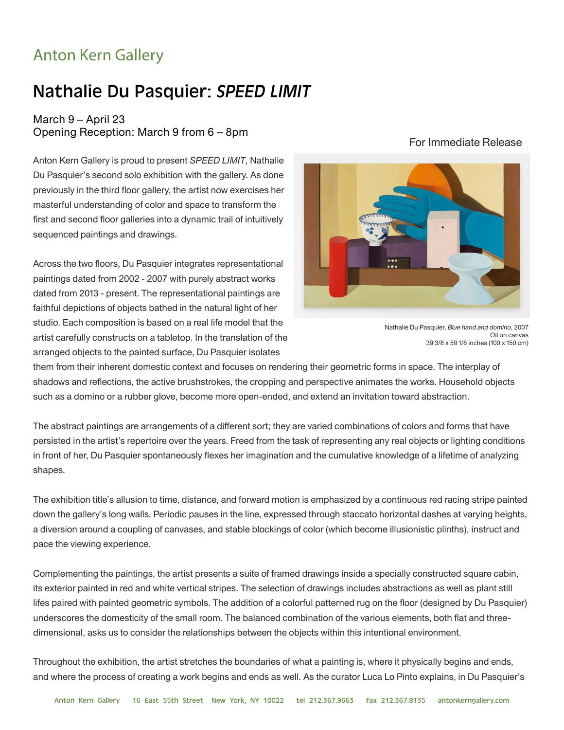## Anton Kern Gallery

## Nathalie Du Pasquier: *SPEED LIMIT*

## March 9 – April 23 Opening Reception: March 9 from 6 – 8pm

Anton Kern Gallery is proud to present *SPEED LIMIT*, Nathalie Du Pasquier's second solo exhibition with the gallery. As done previously in the third floor gallery, the artist now exercises her masterful understanding of color and space to transform the first and second floor galleries into a dynamic trail of intuitively sequenced paintings and drawings.

Across the two floors, Du Pasquier integrates representational paintings dated from 2002 - 2007 with purely abstract works dated from 2013 - present. The representational paintings are faithful depictions of objects bathed in the natural light of her studio. Each composition is based on a real life model that the artist carefully constructs on a tabletop. In the translation of the arranged objects to the painted surface, Du Pasquier isolates



## For Immediate Release

Nathalie Du Pasquier, *Blue hand and domino*, 2007 Oil on canvas 39 3/8 x 59 1/8 inches (100 x 150 cm)

them from their inherent domestic context and focuses on rendering their geometric forms in space. The interplay of shadows and reflections, the active brushstrokes, the cropping and perspective animates the works. Household objects such as a domino or a rubber glove, become more open-ended, and extend an invitation toward abstraction.

The abstract paintings are arrangements of a different sort; they are varied combinations of colors and forms that have persisted in the artist's repertoire over the years. Freed from the task of representing any real objects or lighting conditions in front of her, Du Pasquier spontaneously flexes her imagination and the cumulative knowledge of a lifetime of analyzing shapes.

The exhibition title's allusion to time, distance, and forward motion is emphasized by a continuous red racing stripe painted down the gallery's long walls. Periodic pauses in the line, expressed through staccato horizontal dashes at varying heights, a diversion around a coupling of canvases, and stable blockings of color (which become illusionistic plinths), instruct and pace the viewing experience.

Complementing the paintings, the artist presents a suite of framed drawings inside a specially constructed square cabin, its exterior painted in red and white vertical stripes. The selection of drawings includes abstractions as well as plant still lifes paired with painted geometric symbols. The addition of a colorful patterned rug on the floor (designed by Du Pasquier) underscores the domesticity of the small room. The balanced combination of the various elements, both flat and threedimensional, asks us to consider the relationships between the objects within this intentional environment.

Throughout the exhibition, the artist stretches the boundaries of what a painting is, where it physically begins and ends, and where the process of creating a work begins and ends as well. As the curator Luca Lo Pinto explains, in Du Pasquier's